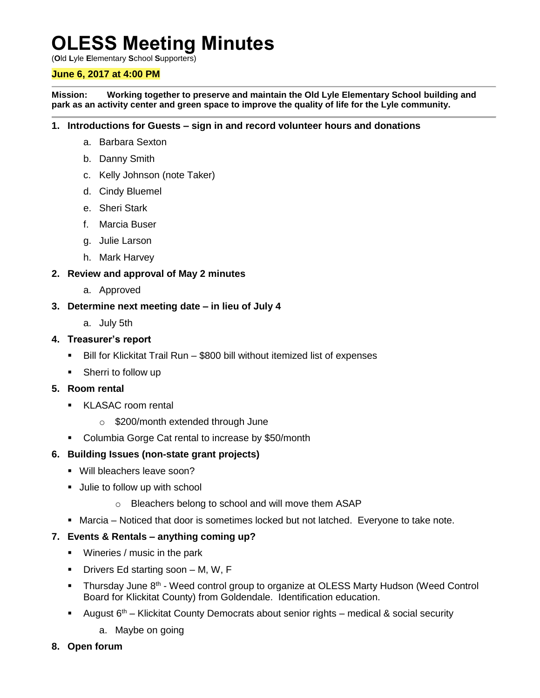# **OLESS Meeting Minutes**

(**O**ld **L**yle **E**lementary **S**chool **S**upporters)

## **June 6, 2017 at 4:00 PM**

**Mission: Working together to preserve and maintain the Old Lyle Elementary School building and park as an activity center and green space to improve the quality of life for the Lyle community.**

#### **1. Introductions for Guests – sign in and record volunteer hours and donations**

- a. Barbara Sexton
- b. Danny Smith
- c. Kelly Johnson (note Taker)
- d. Cindy Bluemel
- e. Sheri Stark
- f. Marcia Buser
- g. Julie Larson
- h. Mark Harvey

## **2. Review and approval of May 2 minutes**

a. Approved

#### **3. Determine next meeting date – in lieu of July 4**

a. July 5th

## **4. Treasurer's report**

- Bill for Klickitat Trail Run \$800 bill without itemized list of expenses
- Sherri to follow up

#### **5. Room rental**

- **KLASAC room rental** 
	- o \$200/month extended through June
- Columbia Gorge Cat rental to increase by \$50/month

## **6. Building Issues (non-state grant projects)**

- Will bleachers leave soon?
- **Julie to follow up with school** 
	- o Bleachers belong to school and will move them ASAP
- Marcia Noticed that door is sometimes locked but not latched. Everyone to take note.

## **7. Events & Rentals – anything coming up?**

- **Wineries / music in the park**
- Drivers Ed starting soon M, W, F
- Thursday June 8<sup>th</sup> Weed control group to organize at OLESS Marty Hudson (Weed Control Board for Klickitat County) from Goldendale. Identification education.
- **August 6<sup>th</sup>** Klickitat County Democrats about senior rights medical & social security
	- a. Maybe on going
- **8. Open forum**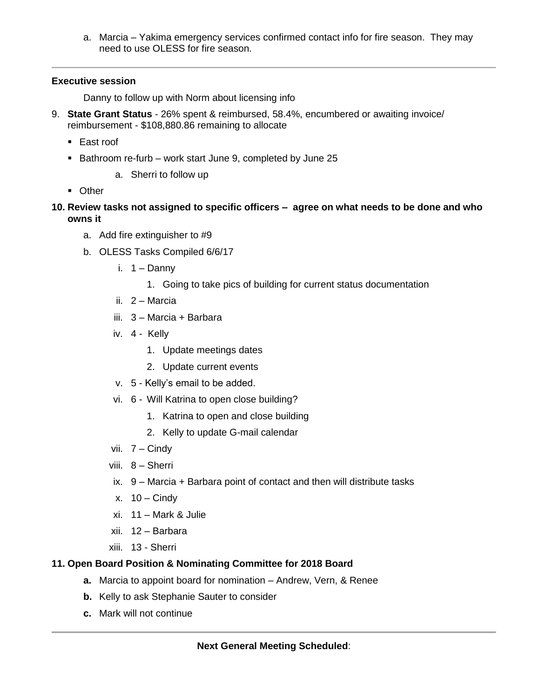a. Marcia – Yakima emergency services confirmed contact info for fire season. They may need to use OLESS for fire season.

## **Executive session**

Danny to follow up with Norm about licensing info

- 9. **State Grant Status** 26% spent & reimbursed, 58.4%, encumbered or awaiting invoice/ reimbursement - \$108,880.86 remaining to allocate
	- East roof
	- Bathroom re-furb work start June 9, completed by June 25
		- a. Sherri to follow up
	- **Diner**
- **10. Review tasks not assigned to specific officers – agree on what needs to be done and who owns it**
	- a. Add fire extinguisher to #9
	- b. OLESS Tasks Compiled 6/6/17
		- i.  $1 -$ Danny
			- 1. Going to take pics of building for current status documentation
		- ii. 2 Marcia
		- iii. 3 Marcia + Barbara
		- iv. 4 Kelly
			- 1. Update meetings dates
			- 2. Update current events
		- v. 5 Kelly's email to be added.
		- vi. 6 Will Katrina to open close building?
			- 1. Katrina to open and close building
			- 2. Kelly to update G-mail calendar
		- vii. 7 Cindy
		- viii. 8 Sherri
		- ix. 9 Marcia + Barbara point of contact and then will distribute tasks
		- x.  $10 -$ Cindy
		- xi. 11 Mark & Julie
		- xii. 12 Barbara
		- xiii. 13 Sherri

## **11. Open Board Position & Nominating Committee for 2018 Board**

- **a.** Marcia to appoint board for nomination Andrew, Vern, & Renee
- **b.** Kelly to ask Stephanie Sauter to consider
- **c.** Mark will not continue